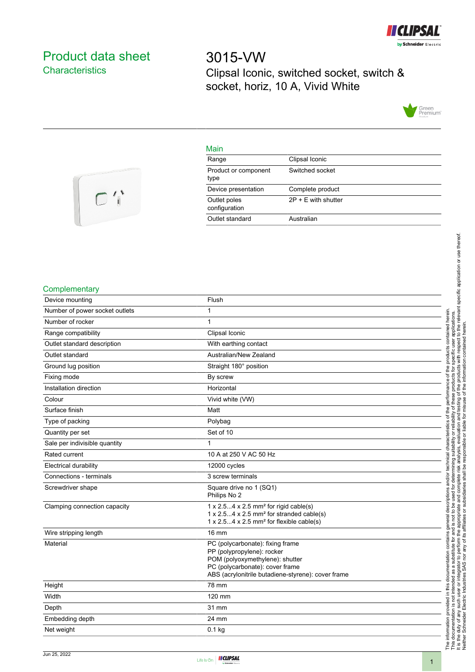

# <span id="page-0-0"></span>Product data sheet **Characteristics**

3015-VW Clipsal Iconic, switched socket, switch & socket, horiz, 10 A, Vivid White



## Main

| Clipsal Iconic        |
|-----------------------|
| Switched socket       |
| Complete product      |
| $2P + E$ with shutter |
| Australian            |
|                       |



### **Complementary**

| Flush                                                                                                                                                                                      |
|--------------------------------------------------------------------------------------------------------------------------------------------------------------------------------------------|
| 1                                                                                                                                                                                          |
| 1                                                                                                                                                                                          |
| Clipsal Iconic                                                                                                                                                                             |
| With earthing contact                                                                                                                                                                      |
| Australian/New Zealand                                                                                                                                                                     |
| Straight 180° position                                                                                                                                                                     |
| By screw                                                                                                                                                                                   |
| Horizontal                                                                                                                                                                                 |
| Vivid white (VW)                                                                                                                                                                           |
| Matt                                                                                                                                                                                       |
| Polybag                                                                                                                                                                                    |
| Set of 10                                                                                                                                                                                  |
| 1                                                                                                                                                                                          |
| 10 A at 250 V AC 50 Hz                                                                                                                                                                     |
| 12000 cycles                                                                                                                                                                               |
| 3 screw terminals                                                                                                                                                                          |
| Square drive no 1 (SQ1)<br>Philips No 2                                                                                                                                                    |
| $1 \times 2.54 \times 2.5$ mm <sup>2</sup> for rigid cable(s)<br>1 x 2.54 x 2.5 mm <sup>2</sup> for stranded cable(s)<br>1 x 2.54 x 2.5 mm <sup>2</sup> for flexible cable(s)              |
| 16 mm                                                                                                                                                                                      |
| PC (polycarbonate): fixing frame<br>PP (polypropylene): rocker<br>POM (polyoxymethylene): shutter<br>PC (polycarbonate): cover frame<br>ABS (acrylonitrile butadiene-styrene): cover frame |
| 78 mm                                                                                                                                                                                      |
| 120 mm                                                                                                                                                                                     |
| 31 mm                                                                                                                                                                                      |
| 24 mm                                                                                                                                                                                      |
| $0.1$ kg                                                                                                                                                                                   |
|                                                                                                                                                                                            |